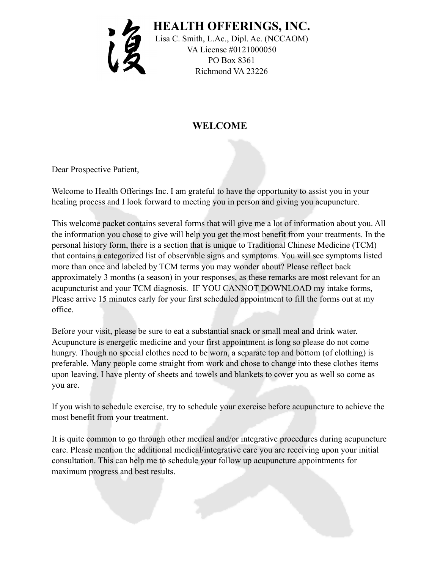

## **WELCOME**

Dear Prospective Patient,

Welcome to Health Offerings Inc. I am grateful to have the opportunity to assist you in your healing process and I look forward to meeting you in person and giving you acupuncture.

This welcome packet contains several forms that will give me a lot of information about you. All the information you chose to give will help you get the most benefit from your treatments. In the personal history form, there is a section that is unique to Traditional Chinese Medicine (TCM) that contains a categorized list of observable signs and symptoms. You will see symptoms listed more than once and labeled by TCM terms you may wonder about? Please reflect back approximately 3 months (a season) in your responses, as these remarks are most relevant for an acupuncturist and your TCM diagnosis. IF YOU CANNOT DOWNLOAD my intake forms, Please arrive 15 minutes early for your first scheduled appointment to fill the forms out at my office.

Before your visit, please be sure to eat a substantial snack or small meal and drink water. Acupuncture is energetic medicine and your first appointment is long so please do not come hungry. Though no special clothes need to be worn, a separate top and bottom (of clothing) is preferable. Many people come straight from work and chose to change into these clothes items upon leaving. I have plenty of sheets and towels and blankets to cover you as well so come as you are.

If you wish to schedule exercise, try to schedule your exercise before acupuncture to achieve the most benefit from your treatment.

It is quite common to go through other medical and/or integrative procedures during acupuncture care. Please mention the additional medical/integrative care you are receiving upon your initial consultation. This can help me to schedule your follow up acupuncture appointments for maximum progress and best results.